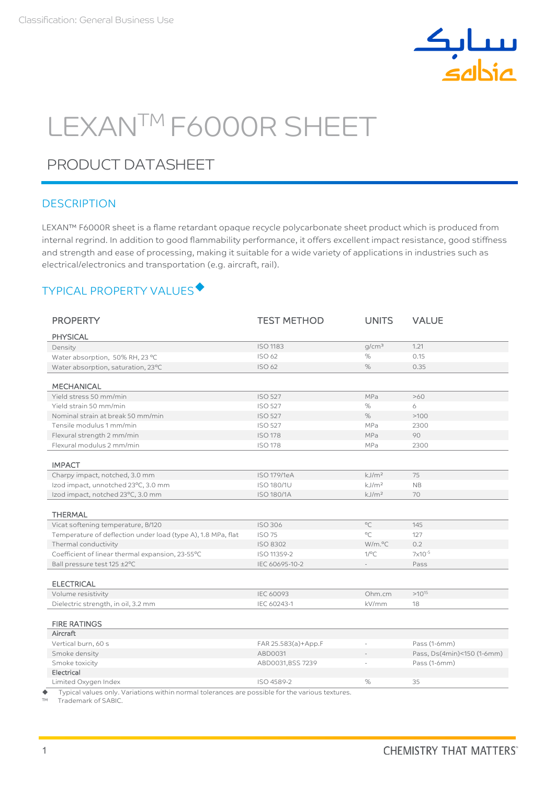

# LEXAN™ F6000R SHEET

## PRODUCT DATASHEET

#### **DESCRIPTION**

LEXAN™ F6000R sheet is a flame retardant opaque recycle polycarbonate sheet product which is produced from internal regrind. In addition to good flammability performance, it offers excellent impact resistance, good stiffness and strength and ease of processing, making it suitable for a wide variety of applications in industries such as electrical/electronics and transportation (e.g. aircraft, rail).

## TYPICAL PROPERTY VALUES

| <b>PROPERTY</b>                                              | <b>TEST METHOD</b>  | <b>UNITS</b>        | <b>VALUE</b>               |
|--------------------------------------------------------------|---------------------|---------------------|----------------------------|
| <b>PHYSICAL</b>                                              |                     |                     |                            |
| Density                                                      | <b>ISO 1183</b>     | q/cm <sup>3</sup>   | 1.21                       |
| Water absorption, 50% RH, 23 °C                              | <b>ISO 62</b>       | %                   | 0.15                       |
| Water absorption, saturation, 23°C                           | <b>ISO 62</b>       | $\%$                | 0.35                       |
|                                                              |                     |                     |                            |
| <b>MECHANICAL</b>                                            |                     |                     |                            |
| Yield stress 50 mm/min                                       | <b>ISO 527</b>      | MPa                 | >60                        |
| Yield strain 50 mm/min                                       | <b>ISO 527</b>      | %                   | 6                          |
| Nominal strain at break 50 mm/min                            | <b>ISO 527</b>      | $\%$                | >100                       |
| Tensile modulus 1 mm/min                                     | <b>ISO 527</b>      | MPa                 | 2300                       |
| Flexural strength 2 mm/min                                   | <b>ISO 178</b>      | MPa                 | 90                         |
| Flexural modulus 2 mm/min                                    | <b>ISO 178</b>      | MPa                 | 2300                       |
| <b>IMPACT</b>                                                |                     |                     |                            |
| Charpy impact, notched, 3.0 mm                               | <b>ISO 179/1eA</b>  | kJ/m <sup>2</sup>   | 75                         |
| Izod impact, unnotched 23°C, 3.0 mm                          | ISO 180/1U          | kJ/m <sup>2</sup>   | NB                         |
| Izod impact, notched 23°C, 3.0 mm                            | <b>ISO 180/1A</b>   | kJ/m <sup>2</sup>   | 70                         |
| <b>THERMAL</b>                                               |                     |                     |                            |
| Vicat softening temperature, B/120                           | <b>ISO 306</b>      | $^{\circ}$ C        | 145                        |
| Temperature of deflection under load (type A), 1.8 MPa, flat | <b>ISO 75</b>       | $^{\circ}C$         | 127                        |
| Thermal conductivity                                         | <b>ISO 8302</b>     | W/m. <sup>o</sup> C | 0.2                        |
| Coefficient of linear thermal expansion, 23-55°C             | ISO 11359-2         | $1$ /°C             | 7x10-5                     |
| Ball pressure test 125 ±2°C                                  | IEC 60695-10-2      |                     | Pass                       |
|                                                              |                     |                     |                            |
| <b>ELECTRICAL</b>                                            |                     |                     |                            |
| Volume resistivity                                           | <b>IEC 60093</b>    | Ohm.cm              | $>10^{15}$                 |
| Dielectric strength, in oil, 3.2 mm                          | IEC 60243-1         | kV/mm               | 18                         |
| <b>FIRE RATINGS</b>                                          |                     |                     |                            |
| Aircraft                                                     |                     |                     |                            |
| Vertical burn, 60 s                                          | FAR 25.583(a)+App.F |                     | Pass (1-6mm)               |
| Smoke density                                                | ABD0031             |                     | Pass, Ds(4min)<150 (1-6mm) |
| Smoke toxicity                                               | ABD0031,BSS 7239    |                     | Pass (1-6mm)               |
| Electrical                                                   |                     |                     |                            |
| Limited Oxygen Index                                         | ISO 4589-2          | %                   | 35                         |

 $\blacklozenge$  Typical values only. Variations within normal tolerances are possible for the various textures.<br>
IM Trademark of SABIC

Trademark of SABIC.